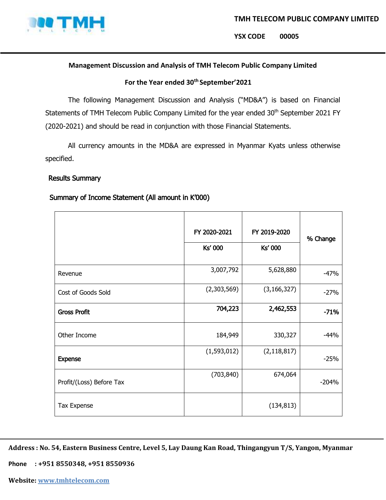

**YSX CODE 00005**

### **Management Discussion and Analysis of TMH Telecom Public Company Limited**

## **For the Year ended 30th September'2021**

The following Management Discussion and Analysis ("MD&A") is based on Financial Statements of TMH Telecom Public Company Limited for the year ended 30<sup>th</sup> September 2021 FY (2020-2021) and should be read in conjunction with those Financial Statements.

All currency amounts in the MD&A are expressed in Myanmar Kyats unless otherwise specified.

### Results Summary

## Summary of Income Statement (All amount in K'000)

|                          | FY 2020-2021<br>Ks' 000 | FY 2019-2020<br><b>Ks' 000</b> | % Change |
|--------------------------|-------------------------|--------------------------------|----------|
| Revenue                  | 3,007,792               | 5,628,880                      | $-47%$   |
| Cost of Goods Sold       | (2,303,569)             | (3, 166, 327)                  | $-27%$   |
| <b>Gross Profit</b>      | 704,223                 | 2,462,553                      | $-71%$   |
| Other Income             | 184,949                 | 330,327                        | $-44%$   |
| <b>Expense</b>           | (1,593,012)             | (2, 118, 817)                  | $-25%$   |
| Profit/(Loss) Before Tax | (703, 840)              | 674,064                        | $-204%$  |
| Tax Expense              |                         | (134, 813)                     |          |

**Address : No. 54, Eastern Business Centre, Level 5, Lay Daung Kan Road, Thingangyun T/S, Yangon, Myanmar**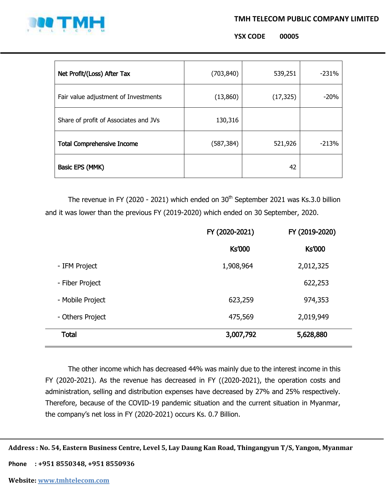### **TMH TELECOM PUBLIC COMPANY LIMITED**



**YSX CODE 00005**

| Net Profit/(Loss) After Tax           | (703, 840) | 539,251   | $-231%$ |
|---------------------------------------|------------|-----------|---------|
| Fair value adjustment of Investments  | (13,860)   | (17, 325) | $-20%$  |
| Share of profit of Associates and JVs | 130,316    |           |         |
| <b>Total Comprehensive Income</b>     | (587, 384) | 521,926   | $-213%$ |
| Basic EPS (MMK)                       |            | 42        |         |

The revenue in FY (2020 - 2021) which ended on  $30<sup>th</sup>$  September 2021 was Ks.3.0 billion and it was lower than the previous FY (2019-2020) which ended on 30 September, 2020.

|                  | FY (2020-2021) | FY (2019-2020) |
|------------------|----------------|----------------|
|                  | <b>Ks'000</b>  | <b>Ks'000</b>  |
| - IFM Project    | 1,908,964      | 2,012,325      |
| - Fiber Project  |                | 622,253        |
| - Mobile Project | 623,259        | 974,353        |
| - Others Project | 475,569        | 2,019,949      |
| <b>Total</b>     | 3,007,792      | 5,628,880      |

The other income which has decreased 44% was mainly due to the interest income in this FY (2020-2021). As the revenue has decreased in FY ((2020-2021), the operation costs and administration, selling and distribution expenses have decreased by 27% and 25% respectively. Therefore, because of the COVID-19 pandemic situation and the current situation in Myanmar, the company's net loss in FY (2020-2021) occurs Ks. 0.7 Billion.

**Address : No. 54, Eastern Business Centre, Level 5, Lay Daung Kan Road, Thingangyun T/S, Yangon, Myanmar**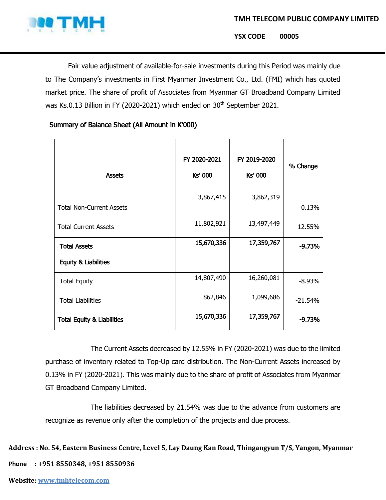

**YSX CODE 00005**

Fair value adjustment of available-for-sale investments during this Period was mainly due to The Company's investments in First Myanmar Investment Co., Ltd. (FMI) which has quoted market price. The share of profit of Associates from Myanmar GT Broadband Company Limited was Ks.0.13 Billion in FY (2020-2021) which ended on 30<sup>th</sup> September 2021.

# Summary of Balance Sheet (All Amount in K'000)

| <b>Assets</b>                         | FY 2020-2021<br>Ks' 000 | FY 2019-2020<br><b>Ks' 000</b> | % Change  |
|---------------------------------------|-------------------------|--------------------------------|-----------|
| <b>Total Non-Current Assets</b>       | 3,867,415               | 3,862,319                      | 0.13%     |
| <b>Total Current Assets</b>           | 11,802,921              | 13,497,449                     | $-12.55%$ |
| <b>Total Assets</b>                   | 15,670,336              | 17,359,767                     | $-9.73%$  |
| Equity & Liabilities                  |                         |                                |           |
| <b>Total Equity</b>                   | 14,807,490              | 16,260,081                     | $-8.93%$  |
| <b>Total Liabilities</b>              | 862,846                 | 1,099,686                      | $-21.54%$ |
| <b>Total Equity &amp; Liabilities</b> | 15,670,336              | 17,359,767                     | $-9.73%$  |

The Current Assets decreased by 12.55% in FY (2020-2021) was due to the limited purchase of inventory related to Top-Up card distribution. The Non-Current Assets increased by 0.13% in FY (2020-2021). This was mainly due to the share of profit of Associates from Myanmar GT Broadband Company Limited.

The liabilities decreased by 21.54% was due to the advance from customers are recognize as revenue only after the completion of the projects and due process.

**Address : No. 54, Eastern Business Centre, Level 5, Lay Daung Kan Road, Thingangyun T/S, Yangon, Myanmar**